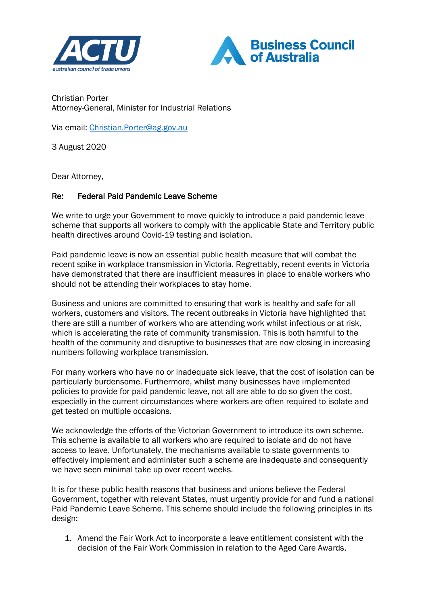



Christian Porter Attorney-General, Minister for Industrial Relations

Via email: [Christian.Porter@ag.gov.au](mailto:Christian.Porter@ag.gov.au)

3 August 2020

Dear Attorney,

## Re: Federal Paid Pandemic Leave Scheme

We write to urge your Government to move quickly to introduce a paid pandemic leave scheme that supports all workers to comply with the applicable State and Territory public health directives around Covid-19 testing and isolation.

Paid pandemic leave is now an essential public health measure that will combat the recent spike in workplace transmission in Victoria. Regrettably, recent events in Victoria have demonstrated that there are insufficient measures in place to enable workers who should not be attending their workplaces to stay home.

Business and unions are committed to ensuring that work is healthy and safe for all workers, customers and visitors. The recent outbreaks in Victoria have highlighted that there are still a number of workers who are attending work whilst infectious or at risk, which is accelerating the rate of community transmission. This is both harmful to the health of the community and disruptive to businesses that are now closing in increasing numbers following workplace transmission.

For many workers who have no or inadequate sick leave, that the cost of isolation can be particularly burdensome. Furthermore, whilst many businesses have implemented policies to provide for paid pandemic leave, not all are able to do so given the cost, especially in the current circumstances where workers are often required to isolate and get tested on multiple occasions.

We acknowledge the efforts of the Victorian Government to introduce its own scheme. This scheme is available to all workers who are required to isolate and do not have access to leave. Unfortunately, the mechanisms available to state governments to effectively implement and administer such a scheme are inadequate and consequently we have seen minimal take up over recent weeks.

It is for these public health reasons that business and unions believe the Federal Government, together with relevant States, must urgently provide for and fund a national Paid Pandemic Leave Scheme. This scheme should include the following principles in its design:

1. Amend the Fair Work Act to incorporate a leave entitlement consistent with the decision of the Fair Work Commission in relation to the Aged Care Awards,